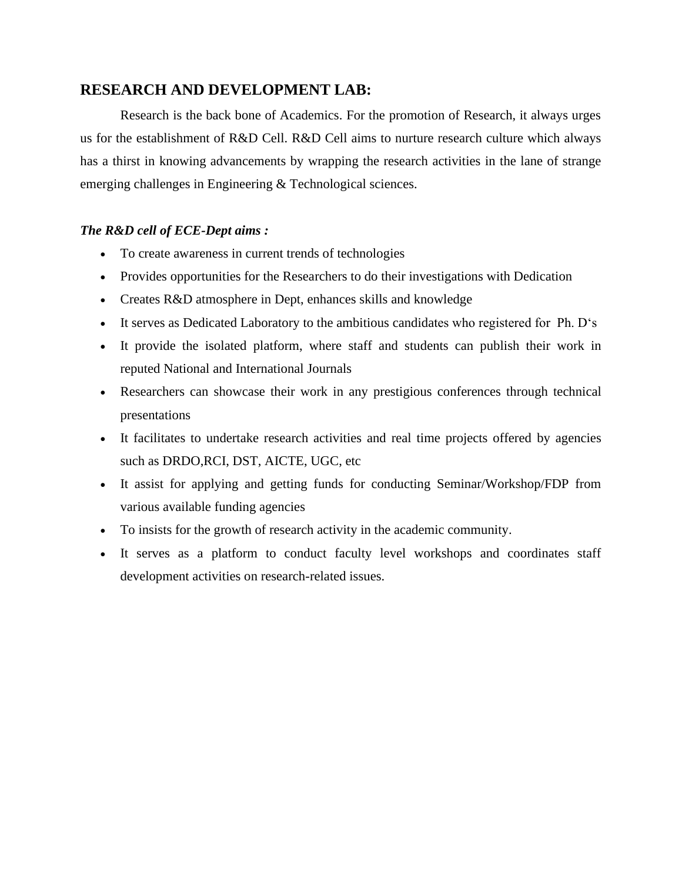## **RESEARCH AND DEVELOPMENT LAB:**

Research is the back bone of Academics. For the promotion of Research, it always urges us for the establishment of R&D Cell. R&D Cell aims to nurture research culture which always has a thirst in knowing advancements by wrapping the research activities in the lane of strange emerging challenges in Engineering & Technological sciences.

## *The R&D cell of ECE-Dept aims :*

- To create awareness in current trends of technologies
- Provides opportunities for the Researchers to do their investigations with Dedication
- Creates R&D atmosphere in Dept, enhances skills and knowledge
- It serves as Dedicated Laboratory to the ambitious candidates who registered for Ph. D's
- It provide the isolated platform, where staff and students can publish their work in reputed National and International Journals
- Researchers can showcase their work in any prestigious conferences through technical presentations
- It facilitates to undertake research activities and real time projects offered by agencies such as DRDO,RCI, DST, AICTE, UGC, etc
- It assist for applying and getting funds for conducting Seminar/Workshop/FDP from various available funding agencies
- To insists for the growth of research activity in the academic community.
- It serves as a platform to conduct faculty level workshops and coordinates staff development activities on research-related issues.